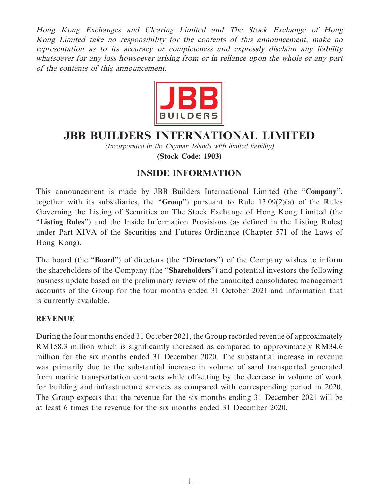Hong Kong Exchanges and Clearing Limited and The Stock Exchange of Hong Kong Limited take no responsibility for the contents of this announcement, make no representation as to its accuracy or completeness and expressly disclaim any liability whatsoever for any loss howsoever arising from or in reliance upon the whole or any part of the contents of this announcement.



# **JBB BUILDERS INTERNATIONAL LIMITED**

(Incorporated in the Cayman Islands with limited liability) **(Stock Code: 1903)**

## **INSIDE INFORMATION**

This announcement is made by JBB Builders International Limited (the "**Company**", together with its subsidiaries, the "**Group**") pursuant to Rule 13.09(2)(a) of the Rules Governing the Listing of Securities on The Stock Exchange of Hong Kong Limited (the "**Listing Rules**") and the Inside Information Provisions (as defined in the Listing Rules) under Part XIVA of the Securities and Futures Ordinance (Chapter 571 of the Laws of Hong Kong).

The board (the "**Board**") of directors (the "**Directors**") of the Company wishes to inform the shareholders of the Company (the "**Shareholders**") and potential investors the following business update based on the preliminary review of the unaudited consolidated management accounts of the Group for the four months ended 31 October 2021 and information that is currently available.

#### **REVENUE**

During the four months ended 31 October 2021, the Group recorded revenue of approximately RM158.3 million which is significantly increased as compared to approximately RM34.6 million for the six months ended 31 December 2020. The substantial increase in revenue was primarily due to the substantial increase in volume of sand transported generated from marine transportation contracts while offsetting by the decrease in volume of work for building and infrastructure services as compared with corresponding period in 2020. The Group expects that the revenue for the six months ending 31 December 2021 will be at least 6 times the revenue for the six months ended 31 December 2020.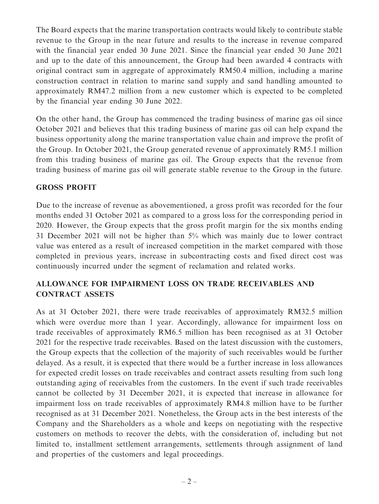The Board expects that the marine transportation contracts would likely to contribute stable revenue to the Group in the near future and results to the increase in revenue compared with the financial year ended 30 June 2021. Since the financial year ended 30 June 2021 and up to the date of this announcement, the Group had been awarded 4 contracts with original contract sum in aggregate of approximately RM50.4 million, including a marine construction contract in relation to marine sand supply and sand handling amounted to approximately RM47.2 million from a new customer which is expected to be completed by the financial year ending 30 June 2022.

On the other hand, the Group has commenced the trading business of marine gas oil since October 2021 and believes that this trading business of marine gas oil can help expand the business opportunity along the marine transportation value chain and improve the profit of the Group. In October 2021, the Group generated revenue of approximately RM5.1 million from this trading business of marine gas oil. The Group expects that the revenue from trading business of marine gas oil will generate stable revenue to the Group in the future.

#### **GROSS PROFIT**

Due to the increase of revenue as abovementioned, a gross profit was recorded for the four months ended 31 October 2021 as compared to a gross loss for the corresponding period in 2020. However, the Group expects that the gross profit margin for the six months ending 31 December 2021 will not be higher than 5% which was mainly due to lower contract value was entered as a result of increased competition in the market compared with those completed in previous years, increase in subcontracting costs and fixed direct cost was continuously incurred under the segment of reclamation and related works.

### **ALLOWANCE FOR IMPAIRMENT LOSS ON TRADE RECEIVABLES AND CONTRACT ASSETS**

As at 31 October 2021, there were trade receivables of approximately RM32.5 million which were overdue more than 1 year. Accordingly, allowance for impairment loss on trade receivables of approximately RM6.5 million has been recognised as at 31 October 2021 for the respective trade receivables. Based on the latest discussion with the customers, the Group expects that the collection of the majority of such receivables would be further delayed. As a result, it is expected that there would be a further increase in loss allowances for expected credit losses on trade receivables and contract assets resulting from such long outstanding aging of receivables from the customers. In the event if such trade receivables cannot be collected by 31 December 2021, it is expected that increase in allowance for impairment loss on trade receivables of approximately RM4.8 million have to be further recognised as at 31 December 2021. Nonetheless, the Group acts in the best interests of the Company and the Shareholders as a whole and keeps on negotiating with the respective customers on methods to recover the debts, with the consideration of, including but not limited to, installment settlement arrangements, settlements through assignment of land and properties of the customers and legal proceedings.